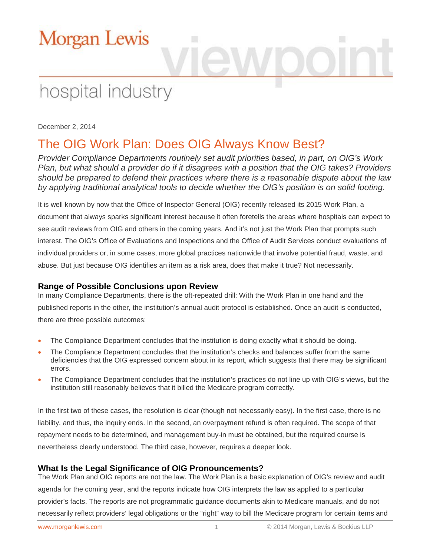# hospital industry

December 2, 2014

## The OIG Work Plan: Does OIG Always Know Best?

*Provider Compliance Departments routinely set audit priorities based, in part, on OIG's Work Plan, but what should a provider do if it disagrees with a position that the OIG takes? Providers should be prepared to defend their practices where there is a reasonable dispute about the law by applying traditional analytical tools to decide whether the OIG's position is on solid footing.* 

It is well known by now that the Office of Inspector General (OIG) recently released its 2015 Work Plan, a document that always sparks significant interest because it often foretells the areas where hospitals can expect to see audit reviews from OIG and others in the coming years. And it's not just the Work Plan that prompts such interest. The OIG's Office of Evaluations and Inspections and the Office of Audit Services conduct evaluations of individual providers or, in some cases, more global practices nationwide that involve potential fraud, waste, and abuse. But just because OIG identifies an item as a risk area, does that make it true? Not necessarily.

### **Range of Possible Conclusions upon Review**

In many Compliance Departments, there is the oft-repeated drill: With the Work Plan in one hand and the published reports in the other, the institution's annual audit protocol is established. Once an audit is conducted, there are three possible outcomes:

- The Compliance Department concludes that the institution is doing exactly what it should be doing.
- The Compliance Department concludes that the institution's checks and balances suffer from the same deficiencies that the OIG expressed concern about in its report, which suggests that there may be significant errors.
- The Compliance Department concludes that the institution's practices do not line up with OIG's views, but the institution still reasonably believes that it billed the Medicare program correctly.

In the first two of these cases, the resolution is clear (though not necessarily easy). In the first case, there is no liability, and thus, the inquiry ends. In the second, an overpayment refund is often required. The scope of that repayment needs to be determined, and management buy-in must be obtained, but the required course is nevertheless clearly understood. The third case, however, requires a deeper look.

### **What Is the Legal Significance of OIG Pronouncements?**

The Work Plan and OIG reports are not the law. The Work Plan is a basic explanation of OIG's review and audit agenda for the coming year, and the reports indicate how OIG interprets the law as applied to a particular provider's facts. The reports are not programmatic guidance documents akin to Medicare manuals, and do not necessarily reflect providers' legal obligations or the "right" way to bill the Medicare program for certain items and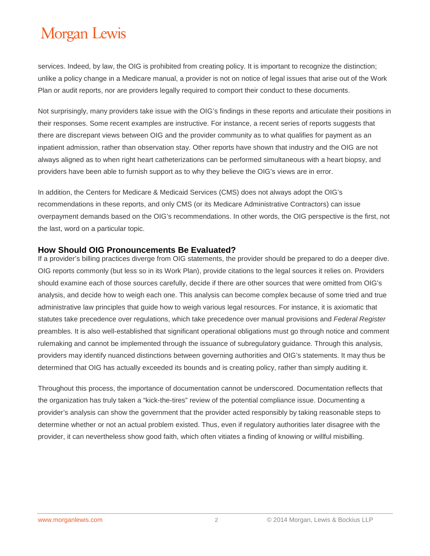services. Indeed, by law, the OIG is prohibited from creating policy. It is important to recognize the distinction; unlike a policy change in a Medicare manual, a provider is not on notice of legal issues that arise out of the Work Plan or audit reports, nor are providers legally required to comport their conduct to these documents.

Not surprisingly, many providers take issue with the OIG's findings in these reports and articulate their positions in their responses. Some recent examples are instructive. For instance, a recent series of reports suggests that there are discrepant views between OIG and the provider community as to what qualifies for payment as an inpatient admission, rather than observation stay. Other reports have shown that industry and the OIG are not always aligned as to when right heart catheterizations can be performed simultaneous with a heart biopsy, and providers have been able to furnish support as to why they believe the OIG's views are in error.

In addition, the Centers for Medicare & Medicaid Services (CMS) does not always adopt the OIG's recommendations in these reports, and only CMS (or its Medicare Administrative Contractors) can issue overpayment demands based on the OIG's recommendations. In other words, the OIG perspective is the first, not the last, word on a particular topic.

#### **How Should OIG Pronouncements Be Evaluated?**

If a provider's billing practices diverge from OIG statements, the provider should be prepared to do a deeper dive. OIG reports commonly (but less so in its Work Plan), provide citations to the legal sources it relies on. Providers should examine each of those sources carefully, decide if there are other sources that were omitted from OIG's analysis, and decide how to weigh each one. This analysis can become complex because of some tried and true administrative law principles that guide how to weigh various legal resources. For instance, it is axiomatic that statutes take precedence over regulations, which take precedence over manual provisions and *Federal Register* preambles. It is also well-established that significant operational obligations must go through notice and comment rulemaking and cannot be implemented through the issuance of subregulatory guidance. Through this analysis, providers may identify nuanced distinctions between governing authorities and OIG's statements. It may thus be determined that OIG has actually exceeded its bounds and is creating policy, rather than simply auditing it.

Throughout this process, the importance of documentation cannot be underscored. Documentation reflects that the organization has truly taken a "kick-the-tires" review of the potential compliance issue. Documenting a provider's analysis can show the government that the provider acted responsibly by taking reasonable steps to determine whether or not an actual problem existed. Thus, even if regulatory authorities later disagree with the provider, it can nevertheless show good faith, which often vitiates a finding of knowing or willful misbilling.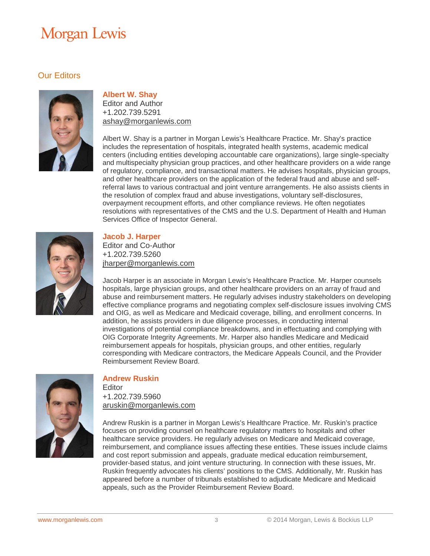### Our Editors



#### **Albert W. Shay**

Editor and Author +1.202.739.5291 [ashay@morganlewis.com](mailto:aruskin@morganlewis.com)

Albert W. Shay is a partner in Morgan Lewis's Healthcare Practice. Mr. Shay's practice includes the representation of hospitals, integrated health systems, academic medical centers (including entities developing accountable care organizations), large single-specialty and multispecialty physician group practices, and other healthcare providers on a wide range of regulatory, compliance, and transactional matters. He advises hospitals, physician groups, and other healthcare providers on the application of the federal fraud and abuse and selfreferral laws to various contractual and joint venture arrangements. He also assists clients in the resolution of complex fraud and abuse investigations, voluntary self-disclosures, overpayment recoupment efforts, and other compliance reviews. He often negotiates resolutions with representatives of the CMS and the U.S. Department of Health and Human Services Office of Inspector General.



#### **Jacob J. Harper**

Editor and Co-Author +1.202.739.5260 [jharper@morganlewis.com](mailto:mjharper@morganlewis.com)

Jacob Harper is an associate in Morgan Lewis's Healthcare Practice. Mr. Harper counsels hospitals, large physician groups, and other healthcare providers on an array of fraud and abuse and reimbursement matters. He regularly advises industry stakeholders on developing effective compliance programs and negotiating complex self-disclosure issues involving CMS and OIG, as well as Medicare and Medicaid coverage, billing, and enrollment concerns. In addition, he assists providers in due diligence processes, in conducting internal investigations of potential compliance breakdowns, and in effectuating and complying with OIG Corporate Integrity Agreements. Mr. Harper also handles Medicare and Medicaid reimbursement appeals for hospitals, physician groups, and other entities, regularly corresponding with Medicare contractors, the Medicare Appeals Council, and the Provider Reimbursement Review Board.



#### **Andrew Ruskin**

**Editor** +1.202.739.5960 aruskin@morganlewis.com

Andrew Ruskin is a partner in Morgan Lewis's Healthcare Practice. Mr. Ruskin's practice focuses on providing counsel on healthcare regulatory matters to hospitals and other healthcare service providers. He regularly advises on Medicare and Medicaid coverage, reimbursement, and compliance issues affecting these entities. These issues include claims and cost report submission and appeals, graduate medical education reimbursement, provider-based status, and joint venture structuring. In connection with these issues, Mr. Ruskin frequently advocates his clients' positions to the CMS. Additionally, Mr. Ruskin has appeared before a number of tribunals established to adjudicate Medicare and Medicaid appeals, such as the Provider Reimbursement Review Board.